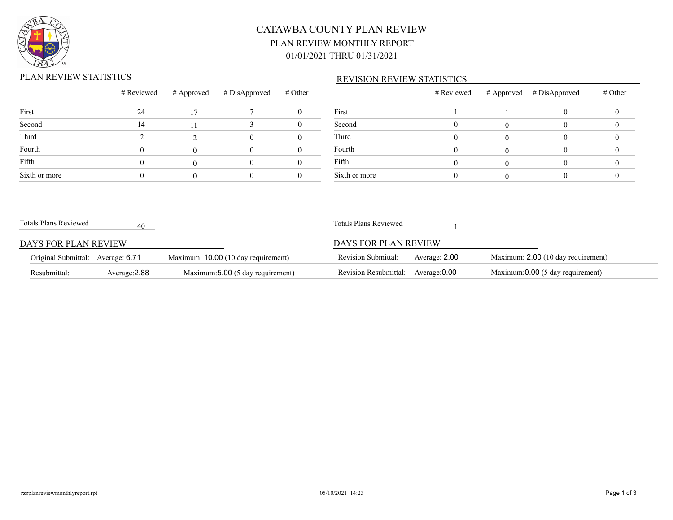

## CATAWBA COUNTY PLAN REVIEW PLAN REVIEW MONTHLY REPORT 01/01/2021 THRU 01/31/2021

#### PLAN REVIEW STATISTICS

#### REVISION REVIEW STATISTICS

|               | # Reviewed | # Approved | # DisApproved | # Other |          |
|---------------|------------|------------|---------------|---------|----------|
| First         | 24         | 17         |               |         | First    |
| Second        | 14         | 11         |               |         | Second   |
| Third         |            |            |               |         | Third    |
| Fourth        |            |            |               |         | Fourth   |
| Fifth         |            |            |               |         | Fifth    |
| Sixth or more |            |            |               |         | Sixth or |

|               | # Reviewed | # Approved # DisApproved | # Other |
|---------------|------------|--------------------------|---------|
| First         |            |                          |         |
| Second        |            |                          |         |
| Third         |            |                          |         |
| Fourth        |            |                          |         |
| Fifth         |            |                          |         |
| Sixth or more |            |                          |         |

| Resubmittal:                      | Average: 2.88 | Maximum:5.00 (5 day requirement)    | Revision Resubmittal:      | Average:0.00  | Maximum:0.00 (5 day requirement)   |
|-----------------------------------|---------------|-------------------------------------|----------------------------|---------------|------------------------------------|
| Original Submittal: Average: 6.71 |               | Maximum: 10.00 (10 day requirement) | <b>Revision Submittal:</b> | Average: 2.00 | Maximum: 2.00 (10 day requirement) |
| DAYS FOR PLAN REVIEW              |               |                                     | DAYS FOR PLAN REVIEW       |               |                                    |
| Totals Plans Reviewed             | 40            |                                     | Totals Plans Reviewed      |               |                                    |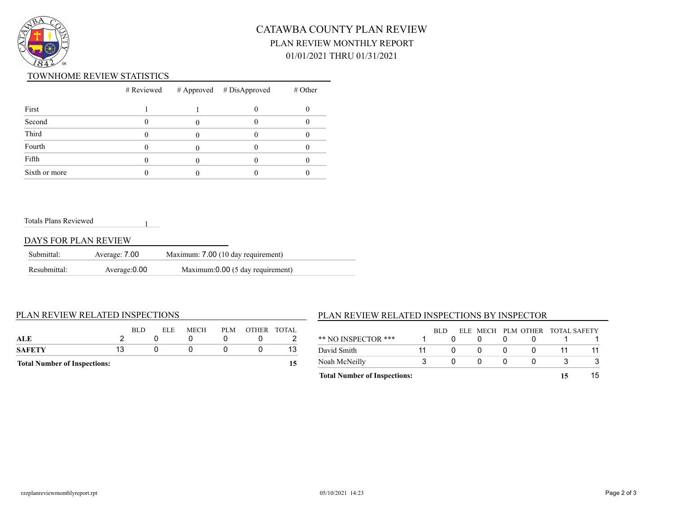

## CATAWBA COUNTY PLAN REVIEW PLAN REVIEW MONTHLY REPORT 01/01/2021 THRU 01/31/2021

#### TOWNHOME REVIEW STATISTICS

|               |  | $#$ Reviewed $#$ Approved $#$ DisApproved | $#$ Other |
|---------------|--|-------------------------------------------|-----------|
| First         |  |                                           |           |
| Second        |  |                                           |           |
| Third         |  |                                           |           |
| Fourth        |  |                                           |           |
| Fifth         |  |                                           |           |
| Sixth or more |  |                                           |           |

#### Totals Plans Reviewed

#### DAYS FOR PLAN REVIEW

| Submittal:   | Average: 7.00 | Maximum: 7.00 (10 day requirement) |
|--------------|---------------|------------------------------------|
| Resubmittal: | Average: 0.00 | Maximum: 0.00 (5 day requirement)  |

1

#### PLAN REVIEW RELATED INSPECTIONS

| <b>Total Number of Inspections:</b> |    |            |                    |     |  |             |
|-------------------------------------|----|------------|--------------------|-----|--|-------------|
| SAFETY                              | 13 |            |                    |     |  | 13          |
| ALE                                 |    |            |                    |     |  |             |
|                                     |    | <b>BLD</b> | MECH<br><b>ELE</b> | PLM |  | OTHER TOTAL |

### PLAN REVIEW RELATED INSPECTIONS BY INSPECTOR

| <b>Total Number of Inspections:</b> |      |  |                                 |  |
|-------------------------------------|------|--|---------------------------------|--|
| Noah McNeilly                       |      |  |                                 |  |
| David Smith                         |      |  |                                 |  |
| ** NO INSPECTOR ***                 | -RLD |  | ELE MECH PLM OTHER TOTAL SAFETY |  |